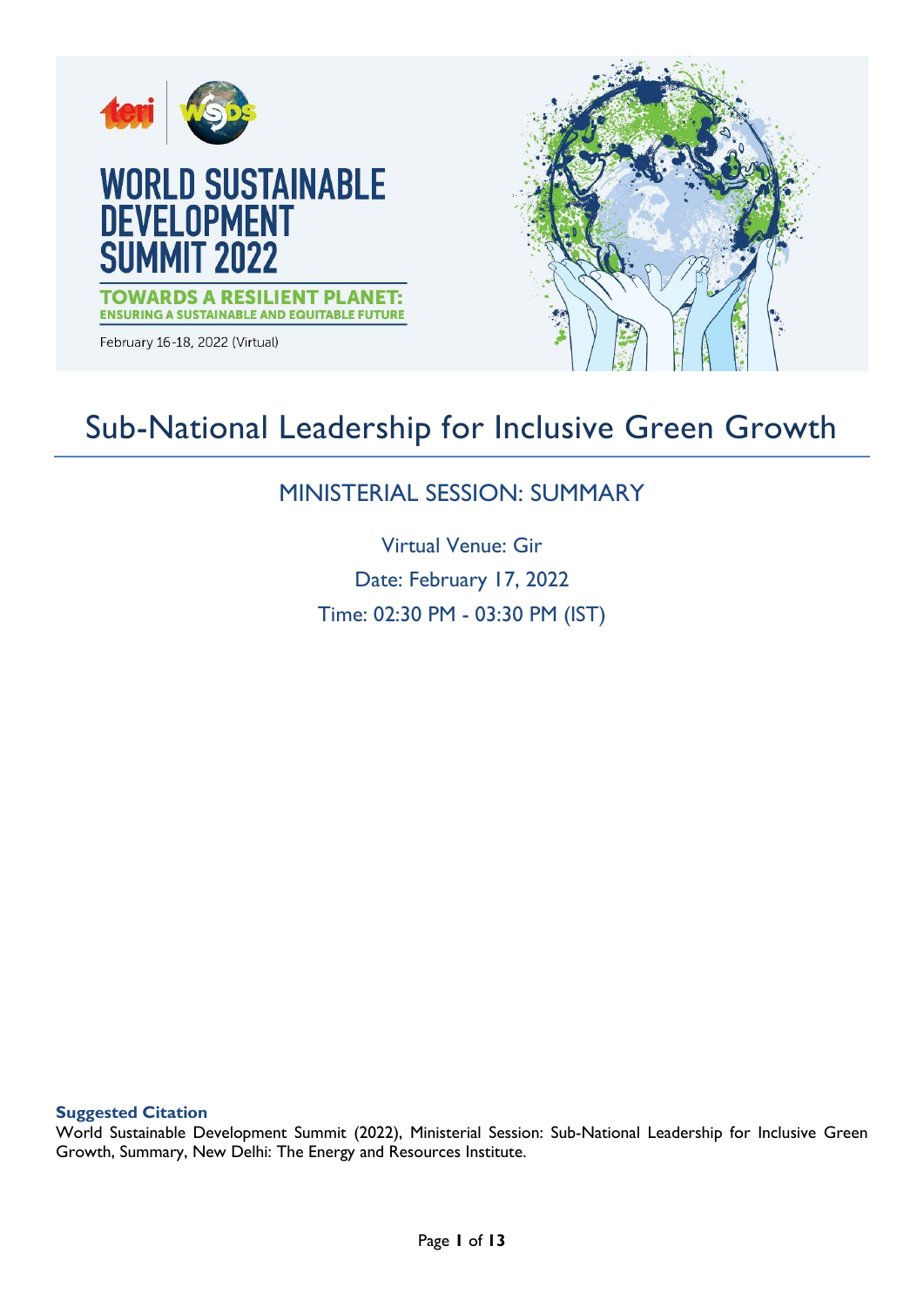

# Sub-National Leadership for Inclusive Green Growth

# MINISTERIAL SESSION: SUMMARY

Virtual Venue: Gir Date: February 17, 2022 Time: 02:30 PM - 03:30 PM (IST)

**Suggested Citation**

World Sustainable Development Summit (2022), Ministerial Session: Sub-National Leadership for Inclusive Green Growth, Summary, New Delhi: The Energy and Resources Institute.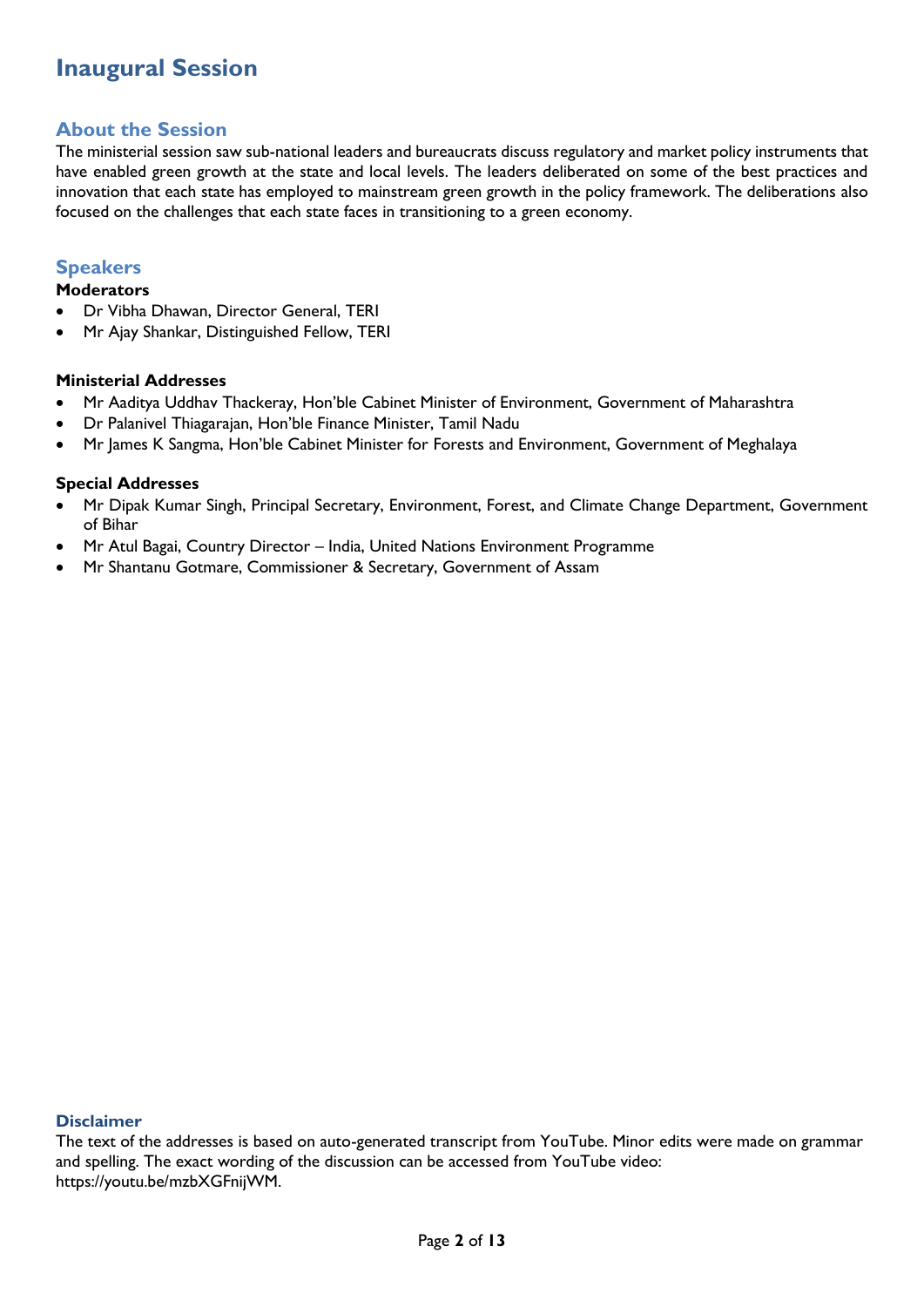# **Inaugural Session**

# **About the Session**

The ministerial session saw sub-national leaders and bureaucrats discuss regulatory and market policy instruments that have enabled green growth at the state and local levels. The leaders deliberated on some of the best practices and innovation that each state has employed to mainstream green growth in the policy framework. The deliberations also focused on the challenges that each state faces in transitioning to a green economy.

# **Speakers**

#### **Moderators**

- Dr Vibha Dhawan, Director General, TERI
- Mr Ajay Shankar, Distinguished Fellow, TERI

#### **Ministerial Addresses**

- Mr Aaditya Uddhav Thackeray, Hon'ble Cabinet Minister of Environment, Government of Maharashtra
- Dr Palanivel Thiagarajan, Hon'ble Finance Minister, Tamil Nadu
- Mr James K Sangma, Hon'ble Cabinet Minister for Forests and Environment, Government of Meghalaya

#### **Special Addresses**

- Mr Dipak Kumar Singh, Principal Secretary, Environment, Forest, and Climate Change Department, Government of Bihar
- Mr Atul Bagai, Country Director India, United Nations Environment Programme
- Mr Shantanu Gotmare, Commissioner & Secretary, Government of Assam

#### **Disclaimer**

The text of the addresses is based on auto-generated transcript from YouTube. Minor edits were made on grammar and spelling. The exact wording of the discussion can be accessed from YouTube video: https://youtu.be/mzbXGFnijWM.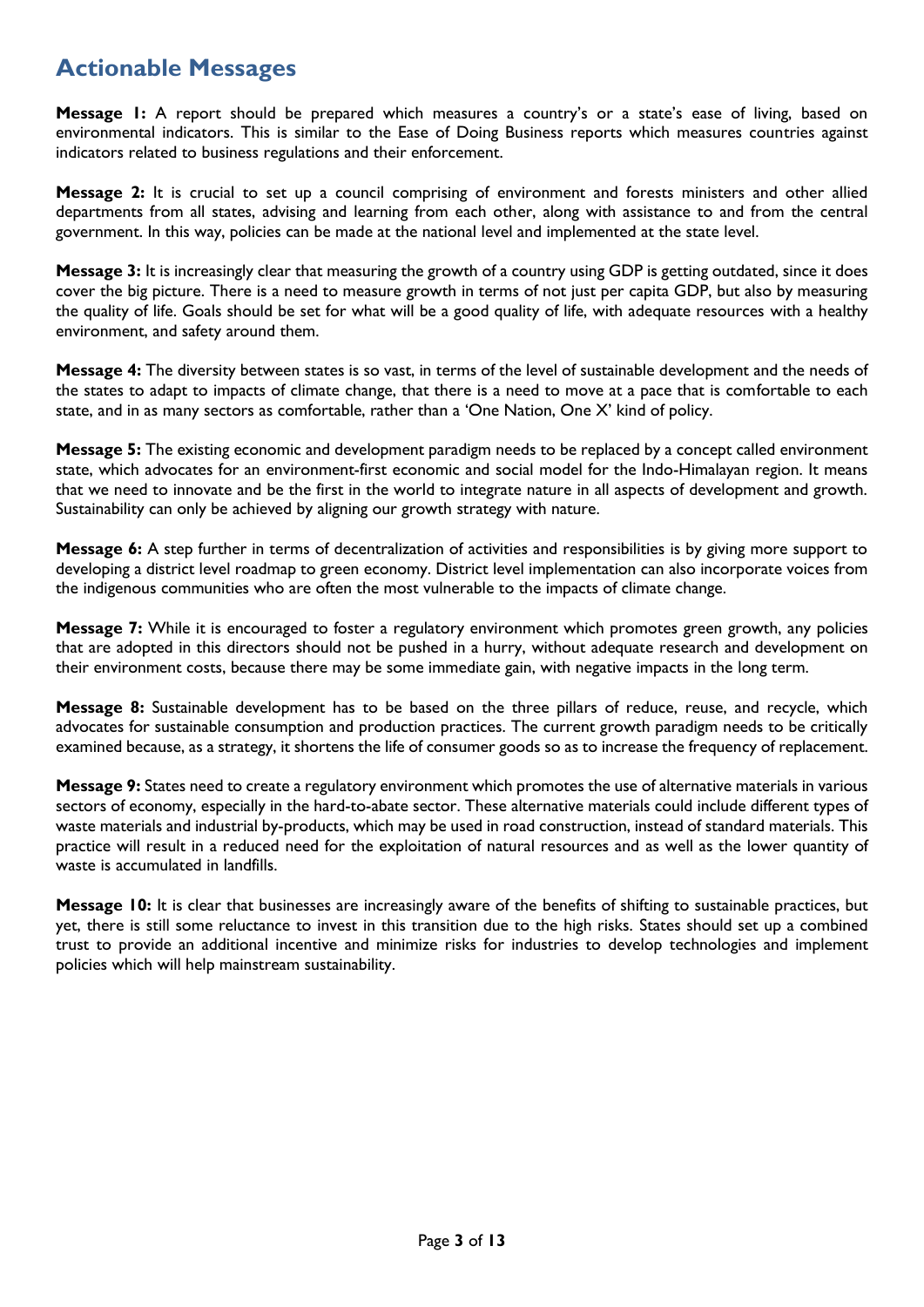# **Actionable Messages**

**Message 1:** A report should be prepared which measures a country's or a state's ease of living, based on environmental indicators. This is similar to the Ease of Doing Business reports which measures countries against indicators related to business regulations and their enforcement.

**Message 2:** It is crucial to set up a council comprising of environment and forests ministers and other allied departments from all states, advising and learning from each other, along with assistance to and from the central government. In this way, policies can be made at the national level and implemented at the state level.

**Message 3:** It is increasingly clear that measuring the growth of a country using GDP is getting outdated, since it does cover the big picture. There is a need to measure growth in terms of not just per capita GDP, but also by measuring the quality of life. Goals should be set for what will be a good quality of life, with adequate resources with a healthy environment, and safety around them.

**Message 4:** The diversity between states is so vast, in terms of the level of sustainable development and the needs of the states to adapt to impacts of climate change, that there is a need to move at a pace that is comfortable to each state, and in as many sectors as comfortable, rather than a 'One Nation, One X' kind of policy.

**Message 5:** The existing economic and development paradigm needs to be replaced by a concept called environment state, which advocates for an environment-first economic and social model for the Indo-Himalayan region. It means that we need to innovate and be the first in the world to integrate nature in all aspects of development and growth. Sustainability can only be achieved by aligning our growth strategy with nature.

**Message 6:** A step further in terms of decentralization of activities and responsibilities is by giving more support to developing a district level roadmap to green economy. District level implementation can also incorporate voices from the indigenous communities who are often the most vulnerable to the impacts of climate change.

**Message 7:** While it is encouraged to foster a regulatory environment which promotes green growth, any policies that are adopted in this directors should not be pushed in a hurry, without adequate research and development on their environment costs, because there may be some immediate gain, with negative impacts in the long term.

**Message 8:** Sustainable development has to be based on the three pillars of reduce, reuse, and recycle, which advocates for sustainable consumption and production practices. The current growth paradigm needs to be critically examined because, as a strategy, it shortens the life of consumer goods so as to increase the frequency of replacement.

**Message 9:** States need to create a regulatory environment which promotes the use of alternative materials in various sectors of economy, especially in the hard-to-abate sector. These alternative materials could include different types of waste materials and industrial by-products, which may be used in road construction, instead of standard materials. This practice will result in a reduced need for the exploitation of natural resources and as well as the lower quantity of waste is accumulated in landfills.

**Message 10:** It is clear that businesses are increasingly aware of the benefits of shifting to sustainable practices, but yet, there is still some reluctance to invest in this transition due to the high risks. States should set up a combined trust to provide an additional incentive and minimize risks for industries to develop technologies and implement policies which will help mainstream sustainability.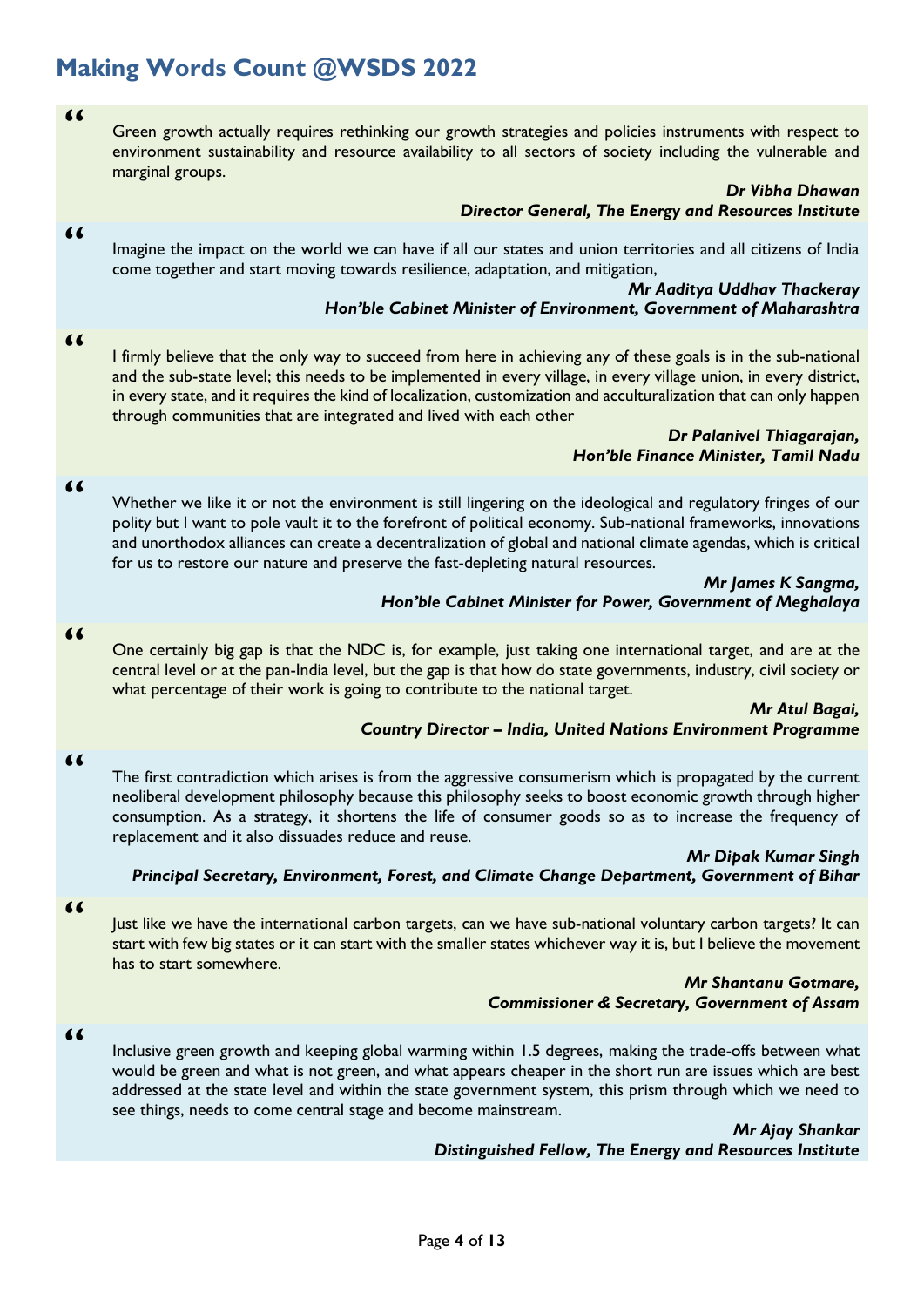# **Making Words Count @WSDS 2022**

**"**

Green growth actually requires rethinking our growth strategies and policies instruments with respect to environment sustainability and resource availability to all sectors of society including the vulnerable and marginal groups.

#### *Dr Vibha Dhawan Director General, The Energy and Resources Institute*

Imagine the impact on the world we can have if all our states and union territories and all citizens of India come together and start moving towards resilience, adaptation, and mitigation,

#### *Mr Aaditya Uddhav Thackeray Hon'ble Cabinet Minister of Environment, Government of Maharashtra*

**"**

**"**

I firmly believe that the only way to succeed from here in achieving any of these goals is in the sub-national and the sub-state level; this needs to be implemented in every village, in every village union, in every district, in every state, and it requires the kind of localization, customization and acculturalization that can only happen through communities that are integrated and lived with each other

#### *Dr Palanivel Thiagarajan, Hon'ble Finance Minister, Tamil Nadu*

#### **"**

Whether we like it or not the environment is still lingering on the ideological and regulatory fringes of our polity but I want to pole vault it to the forefront of political economy. Sub-national frameworks, innovations and unorthodox alliances can create a decentralization of global and national climate agendas, which is critical for us to restore our nature and preserve the fast-depleting natural resources.

#### *Mr James K Sangma, Hon'ble Cabinet Minister for Power, Government of Meghalaya*

#### **"**

One certainly big gap is that the NDC is, for example, just taking one international target, and are at the central level or at the pan-India level, but the gap is that how do state governments, industry, civil society or what percentage of their work is going to contribute to the national target.

#### *Mr Atul Bagai, Country Director – India, United Nations Environment Programme*

#### **"**

The first contradiction which arises is from the aggressive consumerism which is propagated by the current neoliberal development philosophy because this philosophy seeks to boost economic growth through higher consumption. As a strategy, it shortens the life of consumer goods so as to increase the frequency of replacement and it also dissuades reduce and reuse.

#### *Mr Dipak Kumar Singh Principal Secretary, Environment, Forest, and Climate Change Department, Government of Bihar*

#### **"**

Just like we have the international carbon targets, can we have sub-national voluntary carbon targets? It can start with few big states or it can start with the smaller states whichever way it is, but I believe the movement has to start somewhere.

### *Mr Shantanu Gotmare, Commissioner & Secretary, Government of Assam*

### **"**

Inclusive green growth and keeping global warming within 1.5 degrees, making the trade-offs between what would be green and what is not green, and what appears cheaper in the short run are issues which are best addressed at the state level and within the state government system, this prism through which we need to see things, needs to come central stage and become mainstream.

> *Mr Ajay Shankar Distinguished Fellow, The Energy and Resources Institute*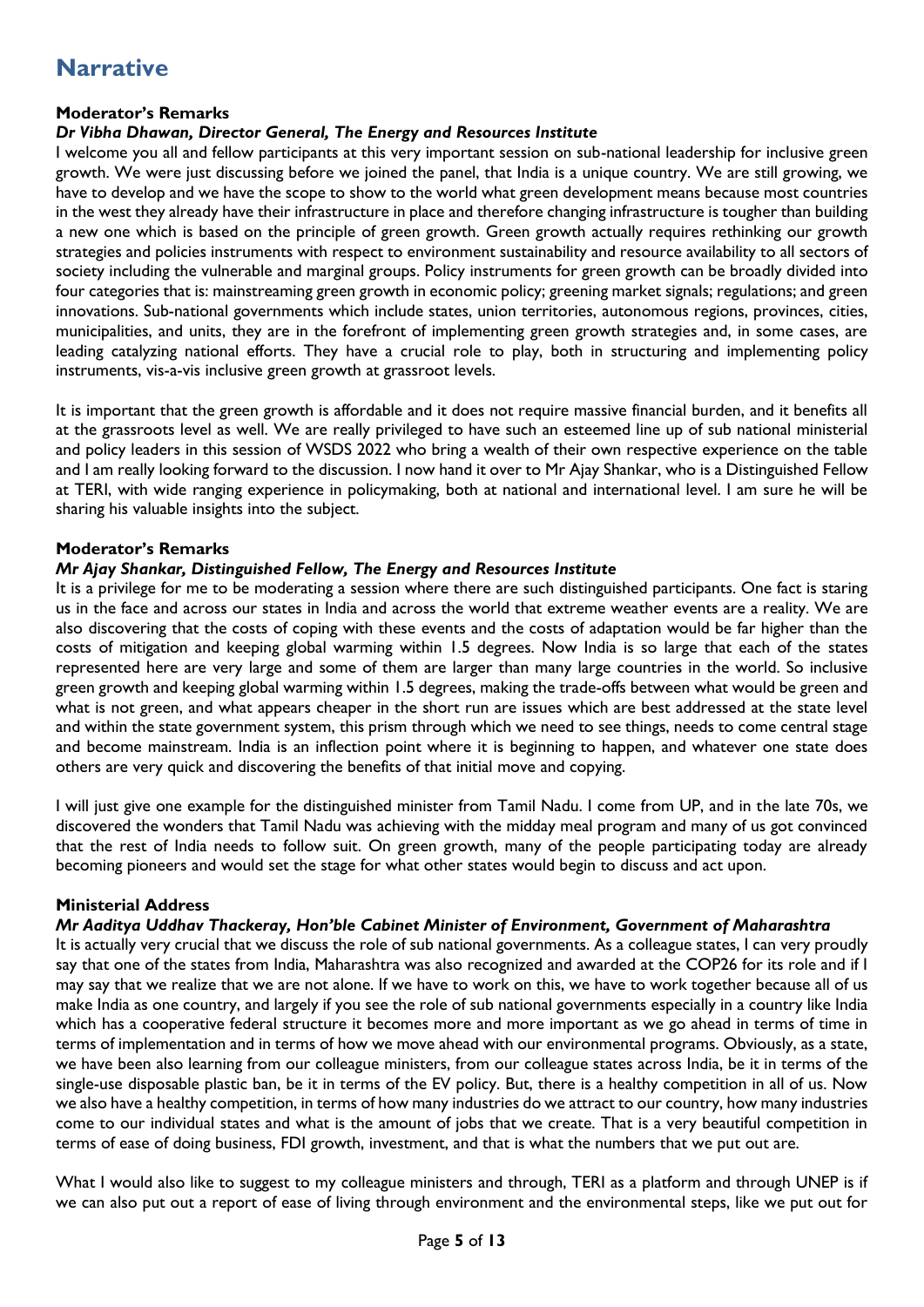# **Narrative**

# **Moderator's Remarks**

# *Dr Vibha Dhawan, Director General, The Energy and Resources Institute*

I welcome you all and fellow participants at this very important session on sub-national leadership for inclusive green growth. We were just discussing before we joined the panel, that India is a unique country. We are still growing, we have to develop and we have the scope to show to the world what green development means because most countries in the west they already have their infrastructure in place and therefore changing infrastructure is tougher than building a new one which is based on the principle of green growth. Green growth actually requires rethinking our growth strategies and policies instruments with respect to environment sustainability and resource availability to all sectors of society including the vulnerable and marginal groups. Policy instruments for green growth can be broadly divided into four categories that is: mainstreaming green growth in economic policy; greening market signals; regulations; and green innovations. Sub-national governments which include states, union territories, autonomous regions, provinces, cities, municipalities, and units, they are in the forefront of implementing green growth strategies and, in some cases, are leading catalyzing national efforts. They have a crucial role to play, both in structuring and implementing policy instruments, vis-a-vis inclusive green growth at grassroot levels.

It is important that the green growth is affordable and it does not require massive financial burden, and it benefits all at the grassroots level as well. We are really privileged to have such an esteemed line up of sub national ministerial and policy leaders in this session of WSDS 2022 who bring a wealth of their own respective experience on the table and I am really looking forward to the discussion. I now hand it over to Mr Ajay Shankar, who is a Distinguished Fellow at TERI, with wide ranging experience in policymaking, both at national and international level. I am sure he will be sharing his valuable insights into the subject.

#### **Moderator's Remarks**

#### *Mr Ajay Shankar, Distinguished Fellow, The Energy and Resources Institute*

It is a privilege for me to be moderating a session where there are such distinguished participants. One fact is staring us in the face and across our states in India and across the world that extreme weather events are a reality. We are also discovering that the costs of coping with these events and the costs of adaptation would be far higher than the costs of mitigation and keeping global warming within 1.5 degrees. Now India is so large that each of the states represented here are very large and some of them are larger than many large countries in the world. So inclusive green growth and keeping global warming within 1.5 degrees, making the trade-offs between what would be green and what is not green, and what appears cheaper in the short run are issues which are best addressed at the state level and within the state government system, this prism through which we need to see things, needs to come central stage and become mainstream. India is an inflection point where it is beginning to happen, and whatever one state does others are very quick and discovering the benefits of that initial move and copying.

I will just give one example for the distinguished minister from Tamil Nadu. I come from UP, and in the late 70s, we discovered the wonders that Tamil Nadu was achieving with the midday meal program and many of us got convinced that the rest of India needs to follow suit. On green growth, many of the people participating today are already becoming pioneers and would set the stage for what other states would begin to discuss and act upon.

#### **Ministerial Address**

#### *Mr Aaditya Uddhav Thackeray, Hon'ble Cabinet Minister of Environment, Government of Maharashtra*

It is actually very crucial that we discuss the role of sub national governments. As a colleague states, I can very proudly say that one of the states from India, Maharashtra was also recognized and awarded at the COP26 for its role and if I may say that we realize that we are not alone. If we have to work on this, we have to work together because all of us make India as one country, and largely if you see the role of sub national governments especially in a country like India which has a cooperative federal structure it becomes more and more important as we go ahead in terms of time in terms of implementation and in terms of how we move ahead with our environmental programs. Obviously, as a state, we have been also learning from our colleague ministers, from our colleague states across India, be it in terms of the single-use disposable plastic ban, be it in terms of the EV policy. But, there is a healthy competition in all of us. Now we also have a healthy competition, in terms of how many industries do we attract to our country, how many industries come to our individual states and what is the amount of jobs that we create. That is a very beautiful competition in terms of ease of doing business, FDI growth, investment, and that is what the numbers that we put out are.

What I would also like to suggest to my colleague ministers and through, TERI as a platform and through UNEP is if we can also put out a report of ease of living through environment and the environmental steps, like we put out for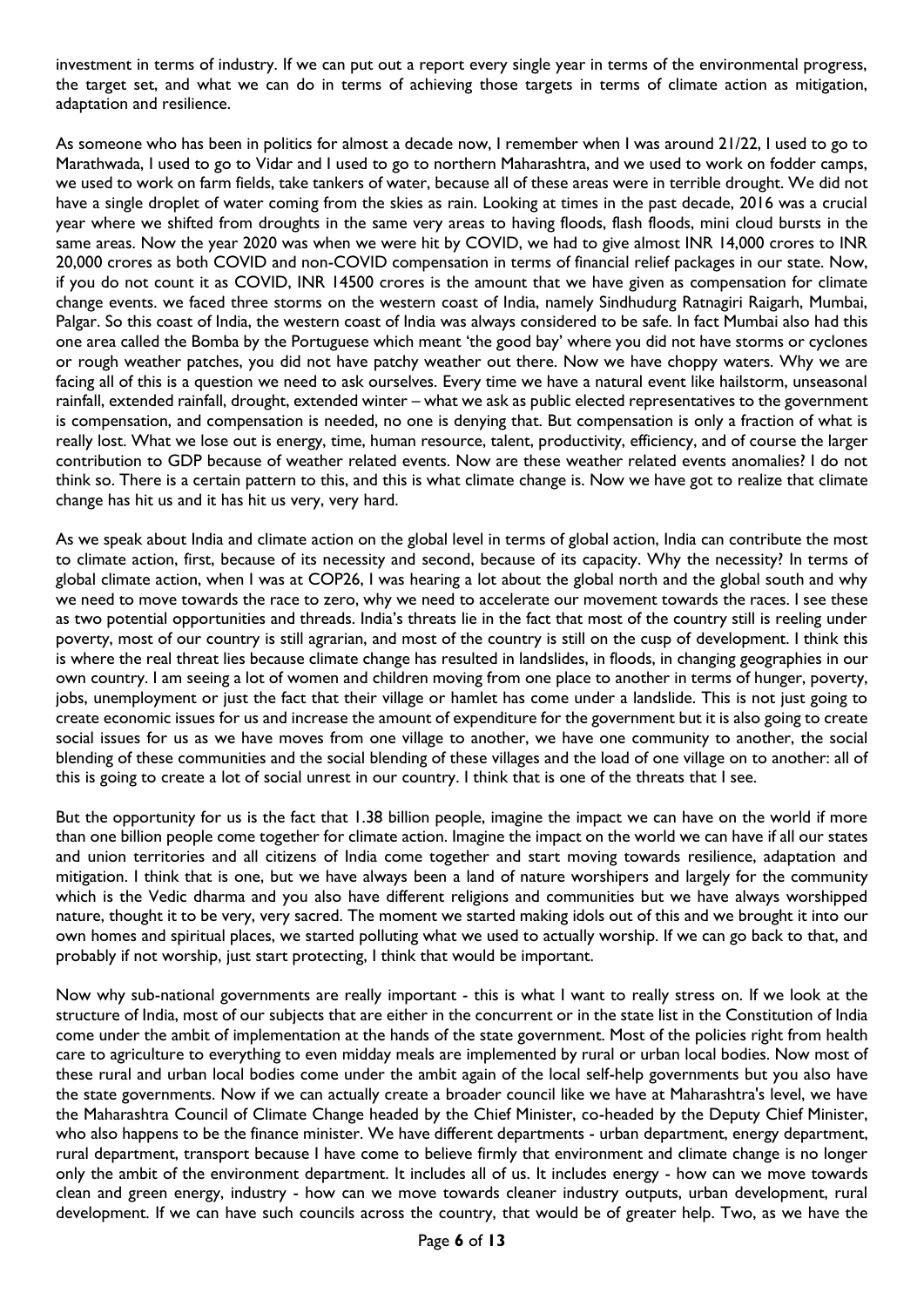investment in terms of industry. If we can put out a report every single year in terms of the environmental progress, the target set, and what we can do in terms of achieving those targets in terms of climate action as mitigation, adaptation and resilience.

As someone who has been in politics for almost a decade now, I remember when I was around 21/22, I used to go to Marathwada, I used to go to Vidar and I used to go to northern Maharashtra, and we used to work on fodder camps, we used to work on farm fields, take tankers of water, because all of these areas were in terrible drought. We did not have a single droplet of water coming from the skies as rain. Looking at times in the past decade, 2016 was a crucial year where we shifted from droughts in the same very areas to having floods, flash floods, mini cloud bursts in the same areas. Now the year 2020 was when we were hit by COVID, we had to give almost INR 14,000 crores to INR 20,000 crores as both COVID and non-COVID compensation in terms of financial relief packages in our state. Now, if you do not count it as COVID, INR 14500 crores is the amount that we have given as compensation for climate change events. we faced three storms on the western coast of India, namely Sindhudurg Ratnagiri Raigarh, Mumbai, Palgar. So this coast of India, the western coast of India was always considered to be safe. In fact Mumbai also had this one area called the Bomba by the Portuguese which meant 'the good bay' where you did not have storms or cyclones or rough weather patches, you did not have patchy weather out there. Now we have choppy waters. Why we are facing all of this is a question we need to ask ourselves. Every time we have a natural event like hailstorm, unseasonal rainfall, extended rainfall, drought, extended winter – what we ask as public elected representatives to the government is compensation, and compensation is needed, no one is denying that. But compensation is only a fraction of what is really lost. What we lose out is energy, time, human resource, talent, productivity, efficiency, and of course the larger contribution to GDP because of weather related events. Now are these weather related events anomalies? I do not think so. There is a certain pattern to this, and this is what climate change is. Now we have got to realize that climate change has hit us and it has hit us very, very hard.

As we speak about India and climate action on the global level in terms of global action, India can contribute the most to climate action, first, because of its necessity and second, because of its capacity. Why the necessity? In terms of global climate action, when I was at COP26, I was hearing a lot about the global north and the global south and why we need to move towards the race to zero, why we need to accelerate our movement towards the races. I see these as two potential opportunities and threads. India's threats lie in the fact that most of the country still is reeling under poverty, most of our country is still agrarian, and most of the country is still on the cusp of development. I think this is where the real threat lies because climate change has resulted in landslides, in floods, in changing geographies in our own country. I am seeing a lot of women and children moving from one place to another in terms of hunger, poverty, jobs, unemployment or just the fact that their village or hamlet has come under a landslide. This is not just going to create economic issues for us and increase the amount of expenditure for the government but it is also going to create social issues for us as we have moves from one village to another, we have one community to another, the social blending of these communities and the social blending of these villages and the load of one village on to another: all of this is going to create a lot of social unrest in our country. I think that is one of the threats that I see.

But the opportunity for us is the fact that 1.38 billion people, imagine the impact we can have on the world if more than one billion people come together for climate action. Imagine the impact on the world we can have if all our states and union territories and all citizens of India come together and start moving towards resilience, adaptation and mitigation. I think that is one, but we have always been a land of nature worshipers and largely for the community which is the Vedic dharma and you also have different religions and communities but we have always worshipped nature, thought it to be very, very sacred. The moment we started making idols out of this and we brought it into our own homes and spiritual places, we started polluting what we used to actually worship. If we can go back to that, and probably if not worship, just start protecting, I think that would be important.

Now why sub-national governments are really important - this is what I want to really stress on. If we look at the structure of India, most of our subjects that are either in the concurrent or in the state list in the Constitution of India come under the ambit of implementation at the hands of the state government. Most of the policies right from health care to agriculture to everything to even midday meals are implemented by rural or urban local bodies. Now most of these rural and urban local bodies come under the ambit again of the local self-help governments but you also have the state governments. Now if we can actually create a broader council like we have at Maharashtra's level, we have the Maharashtra Council of Climate Change headed by the Chief Minister, co-headed by the Deputy Chief Minister, who also happens to be the finance minister. We have different departments - urban department, energy department, rural department, transport because I have come to believe firmly that environment and climate change is no longer only the ambit of the environment department. It includes all of us. It includes energy - how can we move towards clean and green energy, industry - how can we move towards cleaner industry outputs, urban development, rural development. If we can have such councils across the country, that would be of greater help. Two, as we have the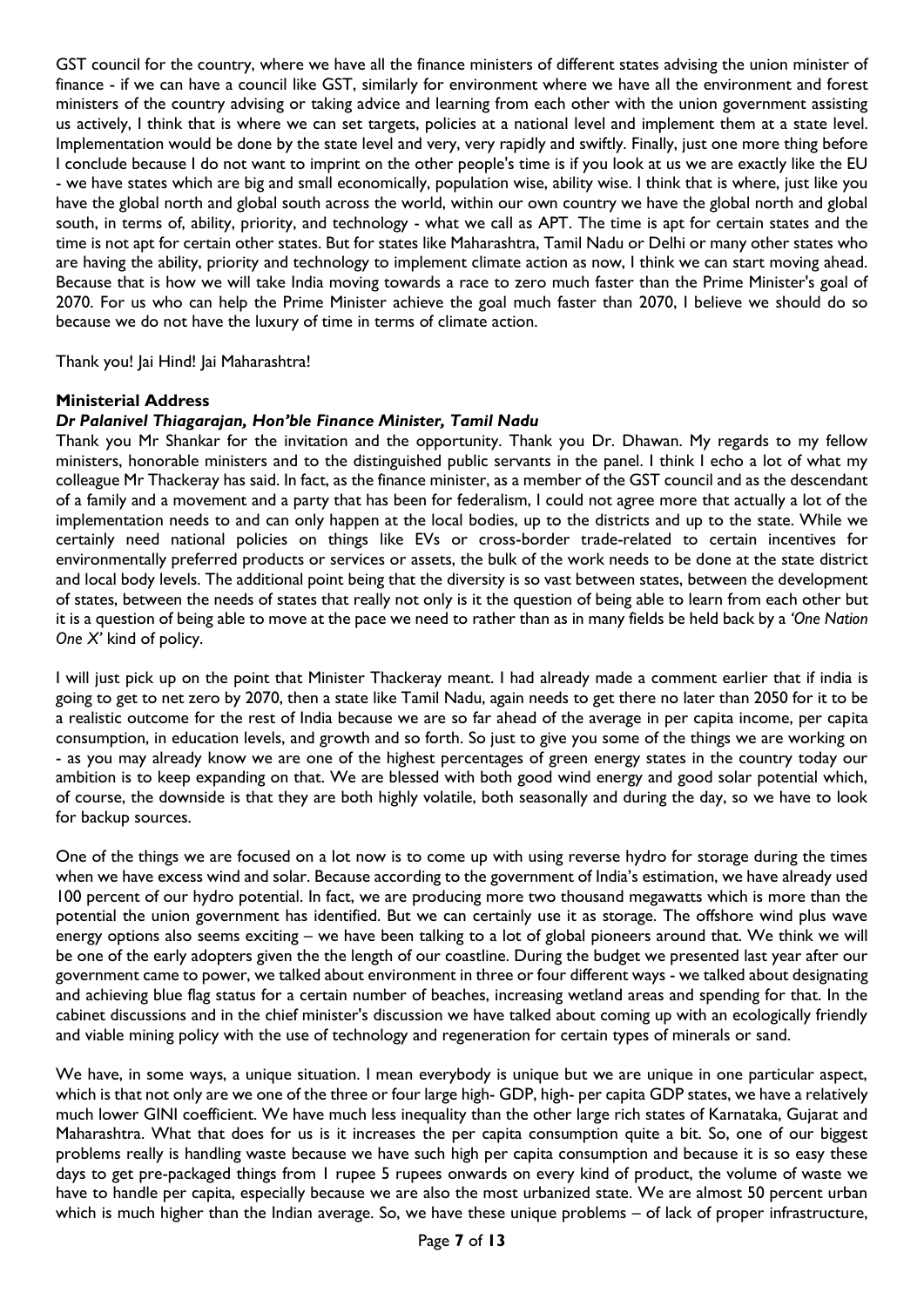GST council for the country, where we have all the finance ministers of different states advising the union minister of finance - if we can have a council like GST, similarly for environment where we have all the environment and forest ministers of the country advising or taking advice and learning from each other with the union government assisting us actively, I think that is where we can set targets, policies at a national level and implement them at a state level. Implementation would be done by the state level and very, very rapidly and swiftly. Finally, just one more thing before I conclude because I do not want to imprint on the other people's time is if you look at us we are exactly like the EU - we have states which are big and small economically, population wise, ability wise. I think that is where, just like you have the global north and global south across the world, within our own country we have the global north and global south, in terms of, ability, priority, and technology - what we call as APT. The time is apt for certain states and the time is not apt for certain other states. But for states like Maharashtra, Tamil Nadu or Delhi or many other states who are having the ability, priority and technology to implement climate action as now, I think we can start moving ahead. Because that is how we will take India moving towards a race to zero much faster than the Prime Minister's goal of 2070. For us who can help the Prime Minister achieve the goal much faster than 2070, I believe we should do so because we do not have the luxury of time in terms of climate action.

Thank you! Jai Hind! Jai Maharashtra!

#### **Ministerial Address**

# *Dr Palanivel Thiagarajan, Hon'ble Finance Minister, Tamil Nadu*

Thank you Mr Shankar for the invitation and the opportunity. Thank you Dr. Dhawan. My regards to my fellow ministers, honorable ministers and to the distinguished public servants in the panel. I think I echo a lot of what my colleague Mr Thackeray has said. In fact, as the finance minister, as a member of the GST council and as the descendant of a family and a movement and a party that has been for federalism, I could not agree more that actually a lot of the implementation needs to and can only happen at the local bodies, up to the districts and up to the state. While we certainly need national policies on things like EVs or cross-border trade-related to certain incentives for environmentally preferred products or services or assets, the bulk of the work needs to be done at the state district and local body levels. The additional point being that the diversity is so vast between states, between the development of states, between the needs of states that really not only is it the question of being able to learn from each other but it is a question of being able to move at the pace we need to rather than as in many fields be held back by a *'One Nation One X'* kind of policy.

I will just pick up on the point that Minister Thackeray meant. I had already made a comment earlier that if india is going to get to net zero by 2070, then a state like Tamil Nadu, again needs to get there no later than 2050 for it to be a realistic outcome for the rest of India because we are so far ahead of the average in per capita income, per capita consumption, in education levels, and growth and so forth. So just to give you some of the things we are working on - as you may already know we are one of the highest percentages of green energy states in the country today our ambition is to keep expanding on that. We are blessed with both good wind energy and good solar potential which, of course, the downside is that they are both highly volatile, both seasonally and during the day, so we have to look for backup sources.

One of the things we are focused on a lot now is to come up with using reverse hydro for storage during the times when we have excess wind and solar. Because according to the government of India's estimation, we have already used 100 percent of our hydro potential. In fact, we are producing more two thousand megawatts which is more than the potential the union government has identified. But we can certainly use it as storage. The offshore wind plus wave energy options also seems exciting – we have been talking to a lot of global pioneers around that. We think we will be one of the early adopters given the the length of our coastline. During the budget we presented last year after our government came to power, we talked about environment in three or four different ways - we talked about designating and achieving blue flag status for a certain number of beaches, increasing wetland areas and spending for that. In the cabinet discussions and in the chief minister's discussion we have talked about coming up with an ecologically friendly and viable mining policy with the use of technology and regeneration for certain types of minerals or sand.

We have, in some ways, a unique situation. I mean everybody is unique but we are unique in one particular aspect, which is that not only are we one of the three or four large high- GDP, high- per capita GDP states, we have a relatively much lower GINI coefficient. We have much less inequality than the other large rich states of Karnataka, Gujarat and Maharashtra. What that does for us is it increases the per capita consumption quite a bit. So, one of our biggest problems really is handling waste because we have such high per capita consumption and because it is so easy these days to get pre-packaged things from 1 rupee 5 rupees onwards on every kind of product, the volume of waste we have to handle per capita, especially because we are also the most urbanized state. We are almost 50 percent urban which is much higher than the Indian average. So, we have these unique problems – of lack of proper infrastructure,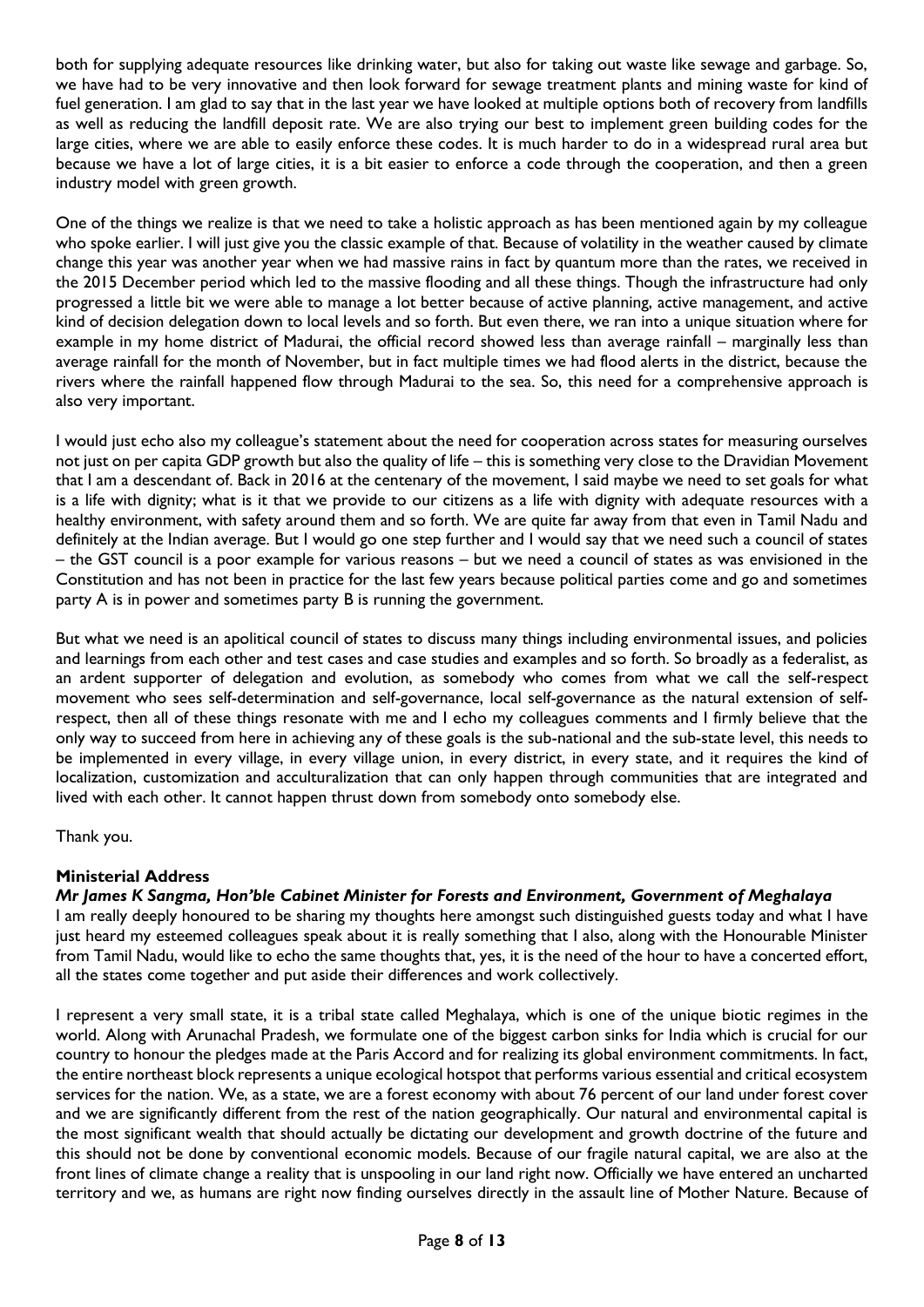both for supplying adequate resources like drinking water, but also for taking out waste like sewage and garbage. So, we have had to be very innovative and then look forward for sewage treatment plants and mining waste for kind of fuel generation. I am glad to say that in the last year we have looked at multiple options both of recovery from landfills as well as reducing the landfill deposit rate. We are also trying our best to implement green building codes for the large cities, where we are able to easily enforce these codes. It is much harder to do in a widespread rural area but because we have a lot of large cities, it is a bit easier to enforce a code through the cooperation, and then a green industry model with green growth.

One of the things we realize is that we need to take a holistic approach as has been mentioned again by my colleague who spoke earlier. I will just give you the classic example of that. Because of volatility in the weather caused by climate change this year was another year when we had massive rains in fact by quantum more than the rates, we received in the 2015 December period which led to the massive flooding and all these things. Though the infrastructure had only progressed a little bit we were able to manage a lot better because of active planning, active management, and active kind of decision delegation down to local levels and so forth. But even there, we ran into a unique situation where for example in my home district of Madurai, the official record showed less than average rainfall – marginally less than average rainfall for the month of November, but in fact multiple times we had flood alerts in the district, because the rivers where the rainfall happened flow through Madurai to the sea. So, this need for a comprehensive approach is also very important.

I would just echo also my colleague's statement about the need for cooperation across states for measuring ourselves not just on per capita GDP growth but also the quality of life – this is something very close to the Dravidian Movement that I am a descendant of. Back in 2016 at the centenary of the movement, I said maybe we need to set goals for what is a life with dignity; what is it that we provide to our citizens as a life with dignity with adequate resources with a healthy environment, with safety around them and so forth. We are quite far away from that even in Tamil Nadu and definitely at the Indian average. But I would go one step further and I would say that we need such a council of states – the GST council is a poor example for various reasons – but we need a council of states as was envisioned in the Constitution and has not been in practice for the last few years because political parties come and go and sometimes party A is in power and sometimes party B is running the government.

But what we need is an apolitical council of states to discuss many things including environmental issues, and policies and learnings from each other and test cases and case studies and examples and so forth. So broadly as a federalist, as an ardent supporter of delegation and evolution, as somebody who comes from what we call the self-respect movement who sees self-determination and self-governance, local self-governance as the natural extension of selfrespect, then all of these things resonate with me and I echo my colleagues comments and I firmly believe that the only way to succeed from here in achieving any of these goals is the sub-national and the sub-state level, this needs to be implemented in every village, in every village union, in every district, in every state, and it requires the kind of localization, customization and acculturalization that can only happen through communities that are integrated and lived with each other. It cannot happen thrust down from somebody onto somebody else.

Thank you.

# **Ministerial Address**

# *Mr James K Sangma, Hon'ble Cabinet Minister for Forests and Environment, Government of Meghalaya*

I am really deeply honoured to be sharing my thoughts here amongst such distinguished guests today and what I have just heard my esteemed colleagues speak about it is really something that I also, along with the Honourable Minister from Tamil Nadu, would like to echo the same thoughts that, yes, it is the need of the hour to have a concerted effort, all the states come together and put aside their differences and work collectively.

I represent a very small state, it is a tribal state called Meghalaya, which is one of the unique biotic regimes in the world. Along with Arunachal Pradesh, we formulate one of the biggest carbon sinks for India which is crucial for our country to honour the pledges made at the Paris Accord and for realizing its global environment commitments. In fact, the entire northeast block represents a unique ecological hotspot that performs various essential and critical ecosystem services for the nation. We, as a state, we are a forest economy with about 76 percent of our land under forest cover and we are significantly different from the rest of the nation geographically. Our natural and environmental capital is the most significant wealth that should actually be dictating our development and growth doctrine of the future and this should not be done by conventional economic models. Because of our fragile natural capital, we are also at the front lines of climate change a reality that is unspooling in our land right now. Officially we have entered an uncharted territory and we, as humans are right now finding ourselves directly in the assault line of Mother Nature. Because of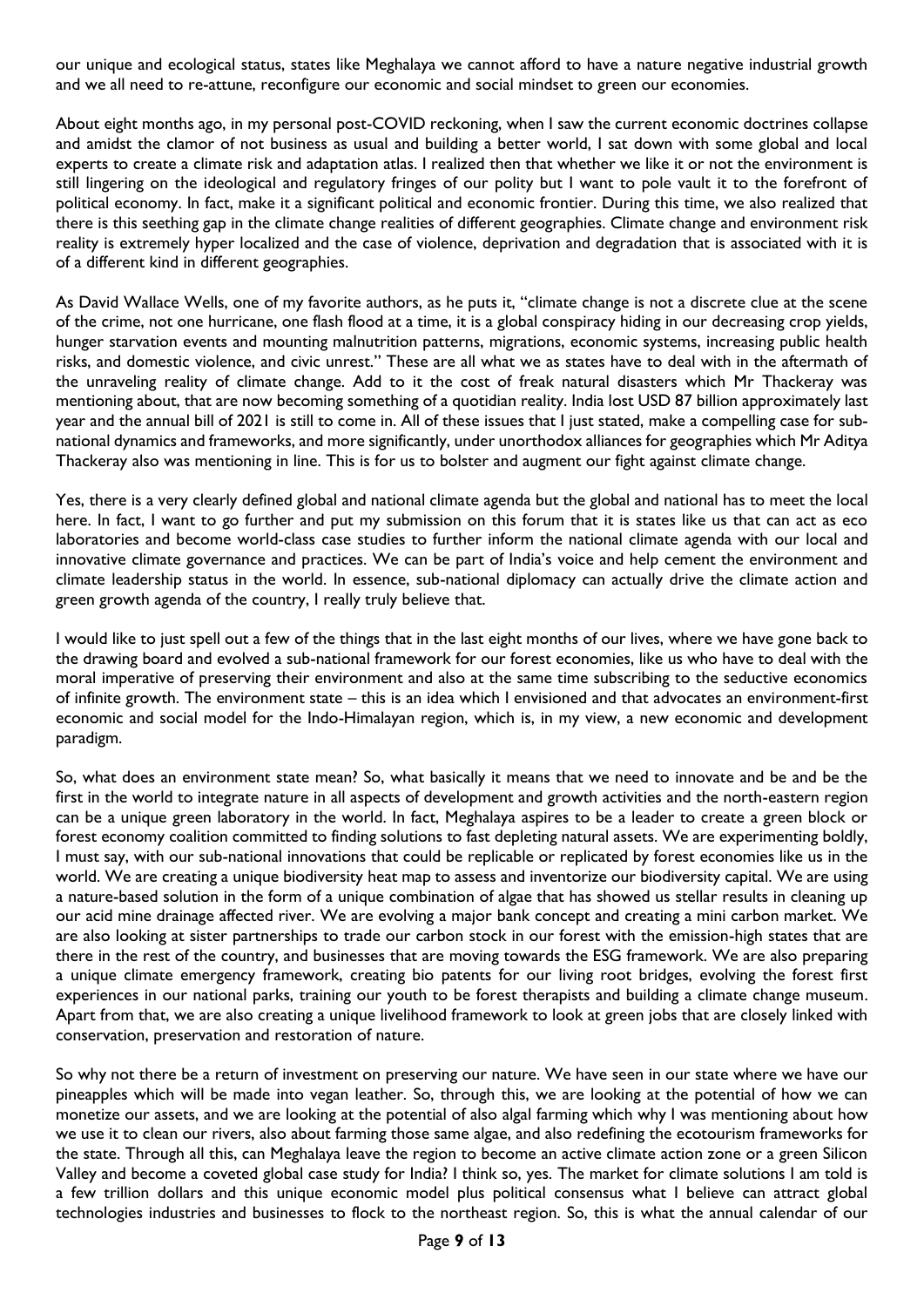our unique and ecological status, states like Meghalaya we cannot afford to have a nature negative industrial growth and we all need to re-attune, reconfigure our economic and social mindset to green our economies.

About eight months ago, in my personal post-COVID reckoning, when I saw the current economic doctrines collapse and amidst the clamor of not business as usual and building a better world, I sat down with some global and local experts to create a climate risk and adaptation atlas. I realized then that whether we like it or not the environment is still lingering on the ideological and regulatory fringes of our polity but I want to pole vault it to the forefront of political economy. In fact, make it a significant political and economic frontier. During this time, we also realized that there is this seething gap in the climate change realities of different geographies. Climate change and environment risk reality is extremely hyper localized and the case of violence, deprivation and degradation that is associated with it is of a different kind in different geographies.

As David Wallace Wells, one of my favorite authors, as he puts it, "climate change is not a discrete clue at the scene of the crime, not one hurricane, one flash flood at a time, it is a global conspiracy hiding in our decreasing crop yields, hunger starvation events and mounting malnutrition patterns, migrations, economic systems, increasing public health risks, and domestic violence, and civic unrest." These are all what we as states have to deal with in the aftermath of the unraveling reality of climate change. Add to it the cost of freak natural disasters which Mr Thackeray was mentioning about, that are now becoming something of a quotidian reality. India lost USD 87 billion approximately last year and the annual bill of 2021 is still to come in. All of these issues that I just stated, make a compelling case for subnational dynamics and frameworks, and more significantly, under unorthodox alliances for geographies which Mr Aditya Thackeray also was mentioning in line. This is for us to bolster and augment our fight against climate change.

Yes, there is a very clearly defined global and national climate agenda but the global and national has to meet the local here. In fact, I want to go further and put my submission on this forum that it is states like us that can act as eco laboratories and become world-class case studies to further inform the national climate agenda with our local and innovative climate governance and practices. We can be part of India's voice and help cement the environment and climate leadership status in the world. In essence, sub-national diplomacy can actually drive the climate action and green growth agenda of the country, I really truly believe that.

I would like to just spell out a few of the things that in the last eight months of our lives, where we have gone back to the drawing board and evolved a sub-national framework for our forest economies, like us who have to deal with the moral imperative of preserving their environment and also at the same time subscribing to the seductive economics of infinite growth. The environment state – this is an idea which I envisioned and that advocates an environment-first economic and social model for the Indo-Himalayan region, which is, in my view, a new economic and development paradigm.

So, what does an environment state mean? So, what basically it means that we need to innovate and be and be the first in the world to integrate nature in all aspects of development and growth activities and the north-eastern region can be a unique green laboratory in the world. In fact, Meghalaya aspires to be a leader to create a green block or forest economy coalition committed to finding solutions to fast depleting natural assets. We are experimenting boldly, I must say, with our sub-national innovations that could be replicable or replicated by forest economies like us in the world. We are creating a unique biodiversity heat map to assess and inventorize our biodiversity capital. We are using a nature-based solution in the form of a unique combination of algae that has showed us stellar results in cleaning up our acid mine drainage affected river. We are evolving a major bank concept and creating a mini carbon market. We are also looking at sister partnerships to trade our carbon stock in our forest with the emission-high states that are there in the rest of the country, and businesses that are moving towards the ESG framework. We are also preparing a unique climate emergency framework, creating bio patents for our living root bridges, evolving the forest first experiences in our national parks, training our youth to be forest therapists and building a climate change museum. Apart from that, we are also creating a unique livelihood framework to look at green jobs that are closely linked with conservation, preservation and restoration of nature.

So why not there be a return of investment on preserving our nature. We have seen in our state where we have our pineapples which will be made into vegan leather. So, through this, we are looking at the potential of how we can monetize our assets, and we are looking at the potential of also algal farming which why I was mentioning about how we use it to clean our rivers, also about farming those same algae, and also redefining the ecotourism frameworks for the state. Through all this, can Meghalaya leave the region to become an active climate action zone or a green Silicon Valley and become a coveted global case study for India? I think so, yes. The market for climate solutions I am told is a few trillion dollars and this unique economic model plus political consensus what I believe can attract global technologies industries and businesses to flock to the northeast region. So, this is what the annual calendar of our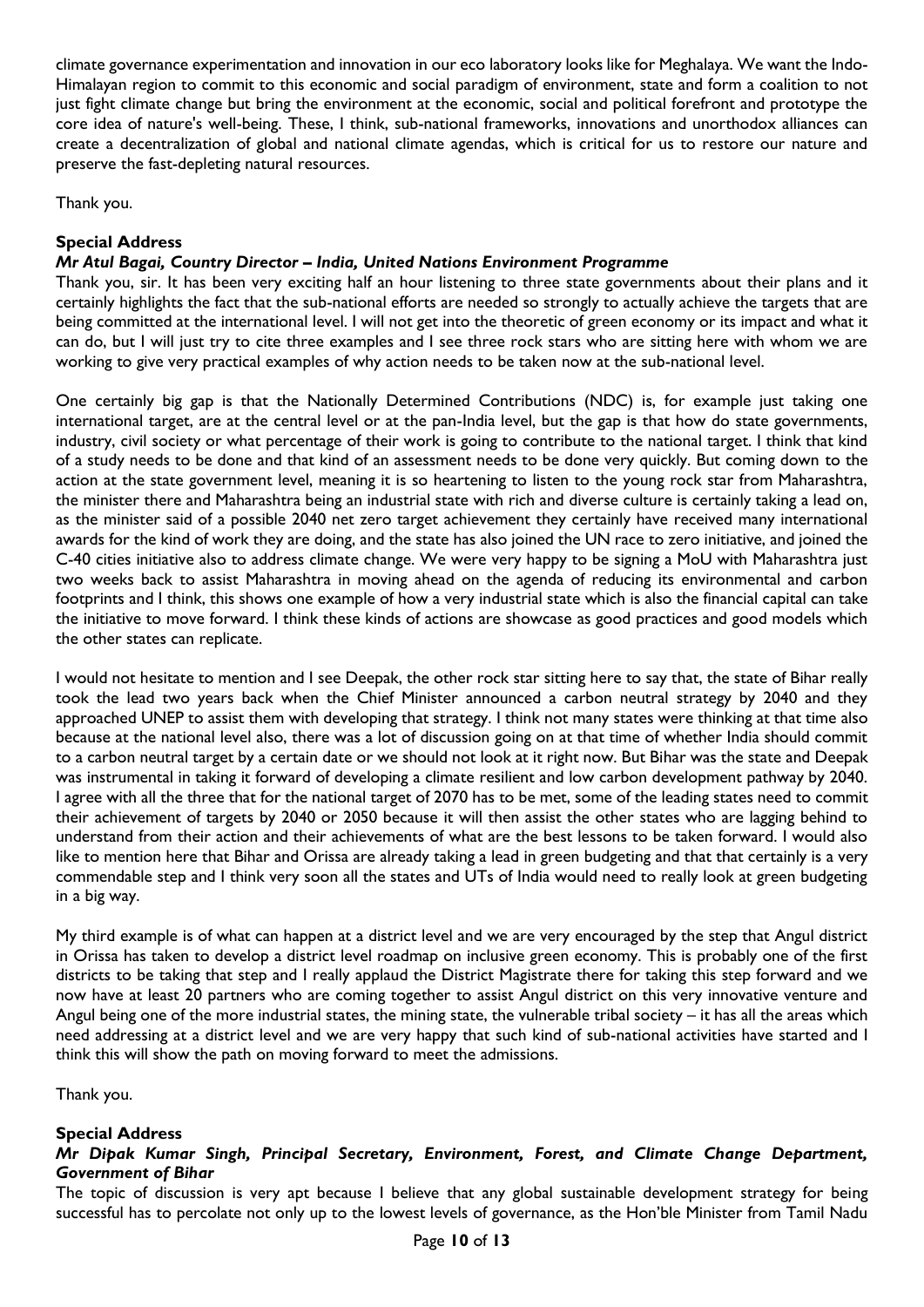climate governance experimentation and innovation in our eco laboratory looks like for Meghalaya. We want the Indo-Himalayan region to commit to this economic and social paradigm of environment, state and form a coalition to not just fight climate change but bring the environment at the economic, social and political forefront and prototype the core idea of nature's well-being. These, I think, sub-national frameworks, innovations and unorthodox alliances can create a decentralization of global and national climate agendas, which is critical for us to restore our nature and preserve the fast-depleting natural resources.

Thank you.

# **Special Address**

# *Mr Atul Bagai, Country Director – India, United Nations Environment Programme*

Thank you, sir. It has been very exciting half an hour listening to three state governments about their plans and it certainly highlights the fact that the sub-national efforts are needed so strongly to actually achieve the targets that are being committed at the international level. I will not get into the theoretic of green economy or its impact and what it can do, but I will just try to cite three examples and I see three rock stars who are sitting here with whom we are working to give very practical examples of why action needs to be taken now at the sub-national level.

One certainly big gap is that the Nationally Determined Contributions (NDC) is, for example just taking one international target, are at the central level or at the pan-India level, but the gap is that how do state governments, industry, civil society or what percentage of their work is going to contribute to the national target. I think that kind of a study needs to be done and that kind of an assessment needs to be done very quickly. But coming down to the action at the state government level, meaning it is so heartening to listen to the young rock star from Maharashtra, the minister there and Maharashtra being an industrial state with rich and diverse culture is certainly taking a lead on, as the minister said of a possible 2040 net zero target achievement they certainly have received many international awards for the kind of work they are doing, and the state has also joined the UN race to zero initiative, and joined the C-40 cities initiative also to address climate change. We were very happy to be signing a MoU with Maharashtra just two weeks back to assist Maharashtra in moving ahead on the agenda of reducing its environmental and carbon footprints and I think, this shows one example of how a very industrial state which is also the financial capital can take the initiative to move forward. I think these kinds of actions are showcase as good practices and good models which the other states can replicate.

I would not hesitate to mention and I see Deepak, the other rock star sitting here to say that, the state of Bihar really took the lead two years back when the Chief Minister announced a carbon neutral strategy by 2040 and they approached UNEP to assist them with developing that strategy. I think not many states were thinking at that time also because at the national level also, there was a lot of discussion going on at that time of whether India should commit to a carbon neutral target by a certain date or we should not look at it right now. But Bihar was the state and Deepak was instrumental in taking it forward of developing a climate resilient and low carbon development pathway by 2040. I agree with all the three that for the national target of 2070 has to be met, some of the leading states need to commit their achievement of targets by 2040 or 2050 because it will then assist the other states who are lagging behind to understand from their action and their achievements of what are the best lessons to be taken forward. I would also like to mention here that Bihar and Orissa are already taking a lead in green budgeting and that that certainly is a very commendable step and I think very soon all the states and UTs of India would need to really look at green budgeting in a big way.

My third example is of what can happen at a district level and we are very encouraged by the step that Angul district in Orissa has taken to develop a district level roadmap on inclusive green economy. This is probably one of the first districts to be taking that step and I really applaud the District Magistrate there for taking this step forward and we now have at least 20 partners who are coming together to assist Angul district on this very innovative venture and Angul being one of the more industrial states, the mining state, the vulnerable tribal society – it has all the areas which need addressing at a district level and we are very happy that such kind of sub-national activities have started and I think this will show the path on moving forward to meet the admissions.

Thank you.

# **Special Address**

# *Mr Dipak Kumar Singh, Principal Secretary, Environment, Forest, and Climate Change Department, Government of Bihar*

The topic of discussion is very apt because I believe that any global sustainable development strategy for being successful has to percolate not only up to the lowest levels of governance, as the Hon'ble Minister from Tamil Nadu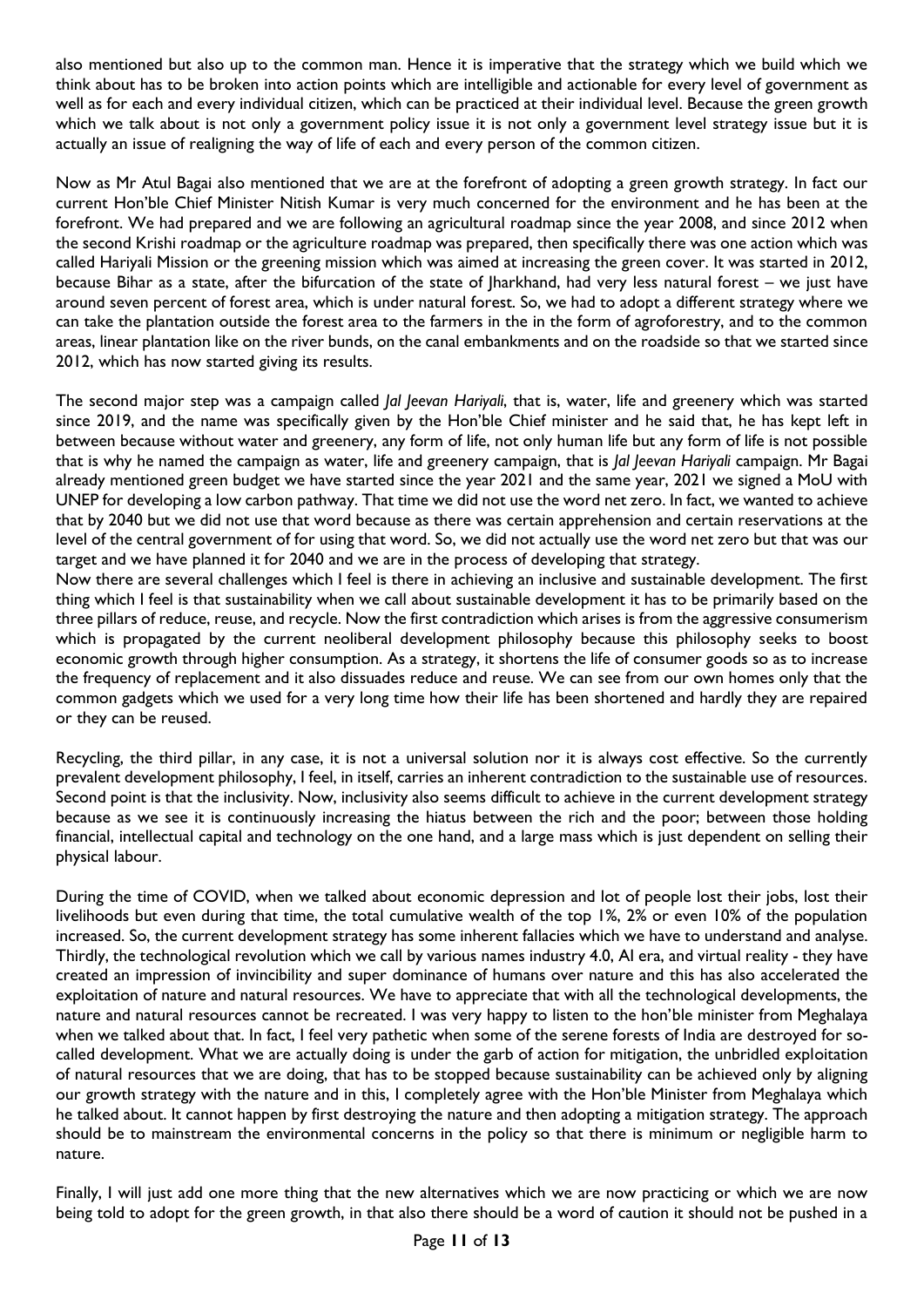also mentioned but also up to the common man. Hence it is imperative that the strategy which we build which we think about has to be broken into action points which are intelligible and actionable for every level of government as well as for each and every individual citizen, which can be practiced at their individual level. Because the green growth which we talk about is not only a government policy issue it is not only a government level strategy issue but it is actually an issue of realigning the way of life of each and every person of the common citizen.

Now as Mr Atul Bagai also mentioned that we are at the forefront of adopting a green growth strategy. In fact our current Hon'ble Chief Minister Nitish Kumar is very much concerned for the environment and he has been at the forefront. We had prepared and we are following an agricultural roadmap since the year 2008, and since 2012 when the second Krishi roadmap or the agriculture roadmap was prepared, then specifically there was one action which was called Hariyali Mission or the greening mission which was aimed at increasing the green cover. It was started in 2012, because Bihar as a state, after the bifurcation of the state of Jharkhand, had very less natural forest – we just have around seven percent of forest area, which is under natural forest. So, we had to adopt a different strategy where we can take the plantation outside the forest area to the farmers in the in the form of agroforestry, and to the common areas, linear plantation like on the river bunds, on the canal embankments and on the roadside so that we started since 2012, which has now started giving its results.

The second major step was a campaign called *Jal Jeevan Hariyali*, that is, water, life and greenery which was started since 2019, and the name was specifically given by the Hon'ble Chief minister and he said that, he has kept left in between because without water and greenery, any form of life, not only human life but any form of life is not possible that is why he named the campaign as water, life and greenery campaign, that is *Jal Jeevan Hariyali* campaign. Mr Bagai already mentioned green budget we have started since the year 2021 and the same year, 2021 we signed a MoU with UNEP for developing a low carbon pathway. That time we did not use the word net zero. In fact, we wanted to achieve that by 2040 but we did not use that word because as there was certain apprehension and certain reservations at the level of the central government of for using that word. So, we did not actually use the word net zero but that was our target and we have planned it for 2040 and we are in the process of developing that strategy.

Now there are several challenges which I feel is there in achieving an inclusive and sustainable development. The first thing which I feel is that sustainability when we call about sustainable development it has to be primarily based on the three pillars of reduce, reuse, and recycle. Now the first contradiction which arises is from the aggressive consumerism which is propagated by the current neoliberal development philosophy because this philosophy seeks to boost economic growth through higher consumption. As a strategy, it shortens the life of consumer goods so as to increase the frequency of replacement and it also dissuades reduce and reuse. We can see from our own homes only that the common gadgets which we used for a very long time how their life has been shortened and hardly they are repaired or they can be reused.

Recycling, the third pillar, in any case, it is not a universal solution nor it is always cost effective. So the currently prevalent development philosophy, I feel, in itself, carries an inherent contradiction to the sustainable use of resources. Second point is that the inclusivity. Now, inclusivity also seems difficult to achieve in the current development strategy because as we see it is continuously increasing the hiatus between the rich and the poor; between those holding financial, intellectual capital and technology on the one hand, and a large mass which is just dependent on selling their physical labour.

During the time of COVID, when we talked about economic depression and lot of people lost their jobs, lost their livelihoods but even during that time, the total cumulative wealth of the top 1%, 2% or even 10% of the population increased. So, the current development strategy has some inherent fallacies which we have to understand and analyse. Thirdly, the technological revolution which we call by various names industry 4.0, AI era, and virtual reality - they have created an impression of invincibility and super dominance of humans over nature and this has also accelerated the exploitation of nature and natural resources. We have to appreciate that with all the technological developments, the nature and natural resources cannot be recreated. I was very happy to listen to the hon'ble minister from Meghalaya when we talked about that. In fact, I feel very pathetic when some of the serene forests of India are destroyed for socalled development. What we are actually doing is under the garb of action for mitigation, the unbridled exploitation of natural resources that we are doing, that has to be stopped because sustainability can be achieved only by aligning our growth strategy with the nature and in this, I completely agree with the Hon'ble Minister from Meghalaya which he talked about. It cannot happen by first destroying the nature and then adopting a mitigation strategy. The approach should be to mainstream the environmental concerns in the policy so that there is minimum or negligible harm to nature.

Finally, I will just add one more thing that the new alternatives which we are now practicing or which we are now being told to adopt for the green growth, in that also there should be a word of caution it should not be pushed in a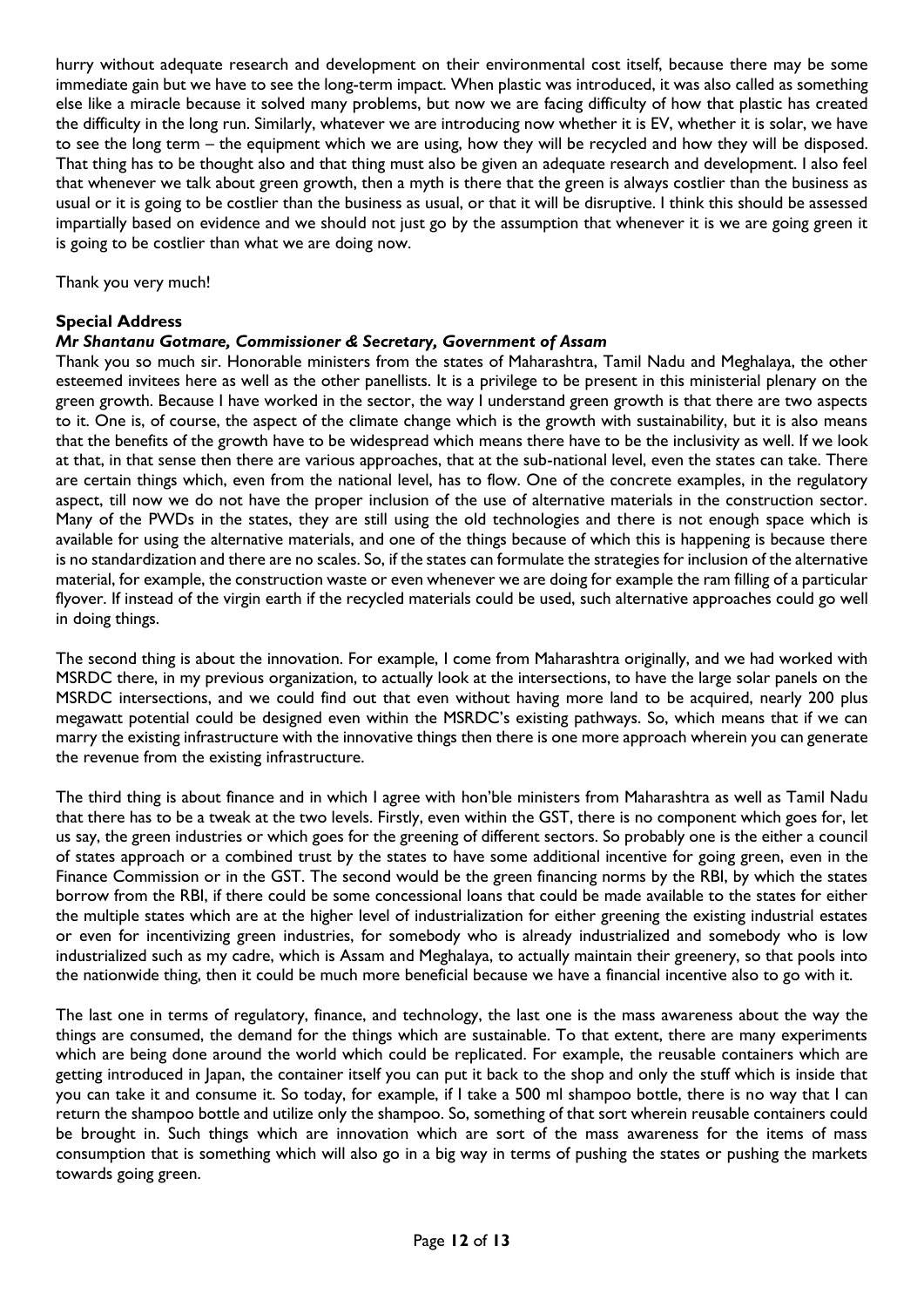hurry without adequate research and development on their environmental cost itself, because there may be some immediate gain but we have to see the long-term impact. When plastic was introduced, it was also called as something else like a miracle because it solved many problems, but now we are facing difficulty of how that plastic has created the difficulty in the long run. Similarly, whatever we are introducing now whether it is EV, whether it is solar, we have to see the long term – the equipment which we are using, how they will be recycled and how they will be disposed. That thing has to be thought also and that thing must also be given an adequate research and development. I also feel that whenever we talk about green growth, then a myth is there that the green is always costlier than the business as usual or it is going to be costlier than the business as usual, or that it will be disruptive. I think this should be assessed impartially based on evidence and we should not just go by the assumption that whenever it is we are going green it is going to be costlier than what we are doing now.

Thank you very much!

# **Special Address**

# *Mr Shantanu Gotmare, Commissioner & Secretary, Government of Assam*

Thank you so much sir. Honorable ministers from the states of Maharashtra, Tamil Nadu and Meghalaya, the other esteemed invitees here as well as the other panellists. It is a privilege to be present in this ministerial plenary on the green growth. Because I have worked in the sector, the way I understand green growth is that there are two aspects to it. One is, of course, the aspect of the climate change which is the growth with sustainability, but it is also means that the benefits of the growth have to be widespread which means there have to be the inclusivity as well. If we look at that, in that sense then there are various approaches, that at the sub-national level, even the states can take. There are certain things which, even from the national level, has to flow. One of the concrete examples, in the regulatory aspect, till now we do not have the proper inclusion of the use of alternative materials in the construction sector. Many of the PWDs in the states, they are still using the old technologies and there is not enough space which is available for using the alternative materials, and one of the things because of which this is happening is because there is no standardization and there are no scales. So, if the states can formulate the strategies for inclusion of the alternative material, for example, the construction waste or even whenever we are doing for example the ram filling of a particular flyover. If instead of the virgin earth if the recycled materials could be used, such alternative approaches could go well in doing things.

The second thing is about the innovation. For example, I come from Maharashtra originally, and we had worked with MSRDC there, in my previous organization, to actually look at the intersections, to have the large solar panels on the MSRDC intersections, and we could find out that even without having more land to be acquired, nearly 200 plus megawatt potential could be designed even within the MSRDC's existing pathways. So, which means that if we can marry the existing infrastructure with the innovative things then there is one more approach wherein you can generate the revenue from the existing infrastructure.

The third thing is about finance and in which I agree with hon'ble ministers from Maharashtra as well as Tamil Nadu that there has to be a tweak at the two levels. Firstly, even within the GST, there is no component which goes for, let us say, the green industries or which goes for the greening of different sectors. So probably one is the either a council of states approach or a combined trust by the states to have some additional incentive for going green, even in the Finance Commission or in the GST. The second would be the green financing norms by the RBI, by which the states borrow from the RBI, if there could be some concessional loans that could be made available to the states for either the multiple states which are at the higher level of industrialization for either greening the existing industrial estates or even for incentivizing green industries, for somebody who is already industrialized and somebody who is low industrialized such as my cadre, which is Assam and Meghalaya, to actually maintain their greenery, so that pools into the nationwide thing, then it could be much more beneficial because we have a financial incentive also to go with it.

The last one in terms of regulatory, finance, and technology, the last one is the mass awareness about the way the things are consumed, the demand for the things which are sustainable. To that extent, there are many experiments which are being done around the world which could be replicated. For example, the reusable containers which are getting introduced in Japan, the container itself you can put it back to the shop and only the stuff which is inside that you can take it and consume it. So today, for example, if I take a 500 ml shampoo bottle, there is no way that I can return the shampoo bottle and utilize only the shampoo. So, something of that sort wherein reusable containers could be brought in. Such things which are innovation which are sort of the mass awareness for the items of mass consumption that is something which will also go in a big way in terms of pushing the states or pushing the markets towards going green.